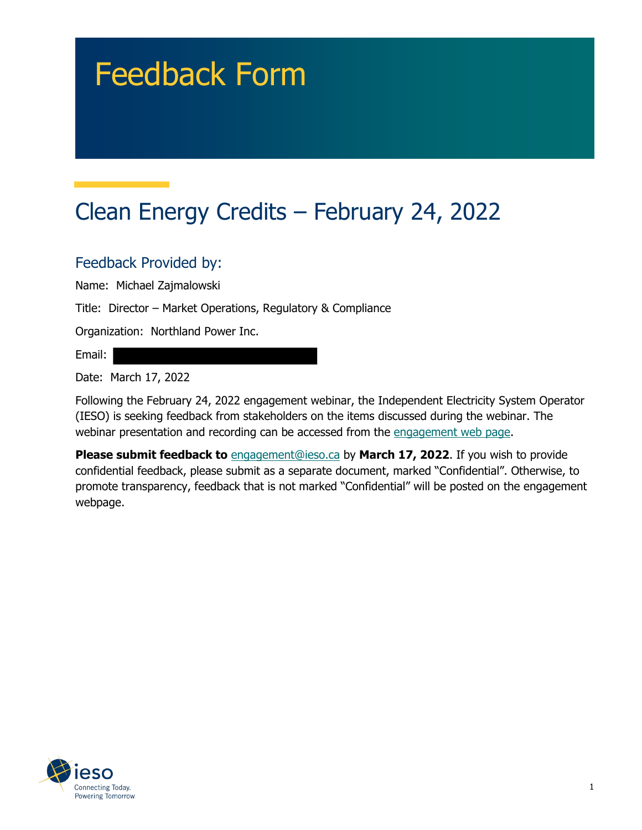# Feedback Form

## Clean Energy Credits – February 24, 2022

#### Feedback Provided by:

Name: Michael Zajmalowski

Title: Director – Market Operations, Regulatory & Compliance

Organization: Northland Power Inc.

Email:

Date: March 17, 2022

Following the February 24, 2022 engagement webinar, the Independent Electricity System Operator (IESO) is seeking feedback from stakeholders on the items discussed during the webinar. The webinar presentation and recording can be accessed from the engagement web page.

**Please submit feedback to** engagement@ieso.ca by March 17, 2022. If you wish to provide confidential feedback, please submit as a separate document, marked "Confidential". Otherwise, to promote transparency, feedback that is not marked "Confidential" will be posted on the engagement webpage.

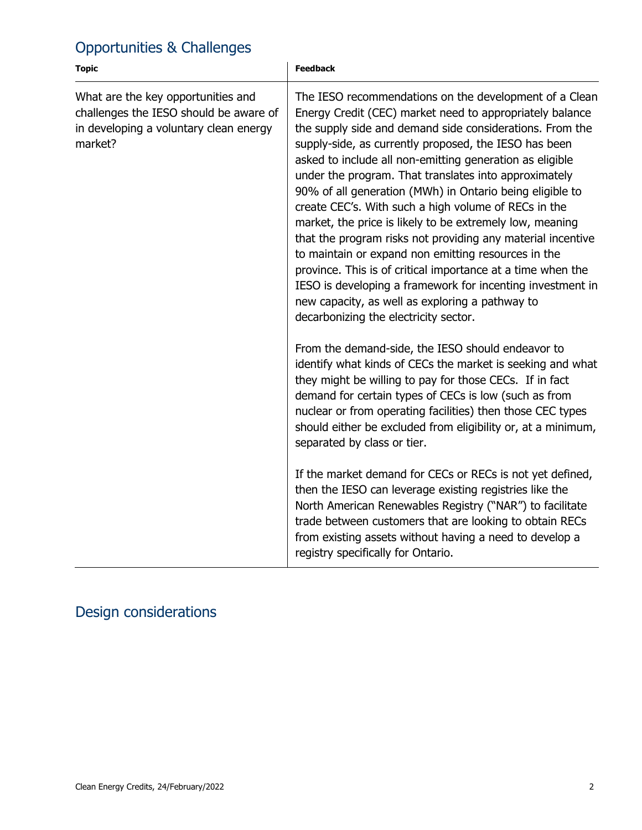#### Opportunities & Challenges

| <b>Topic</b>                                                                                                                      | <b>Feedback</b>                                                                                                                                                                                                                                                                                                                                                                                                                                                                                                                                                                                                                                                                                                                                                                                                                                                                             |
|-----------------------------------------------------------------------------------------------------------------------------------|---------------------------------------------------------------------------------------------------------------------------------------------------------------------------------------------------------------------------------------------------------------------------------------------------------------------------------------------------------------------------------------------------------------------------------------------------------------------------------------------------------------------------------------------------------------------------------------------------------------------------------------------------------------------------------------------------------------------------------------------------------------------------------------------------------------------------------------------------------------------------------------------|
| What are the key opportunities and<br>challenges the IESO should be aware of<br>in developing a voluntary clean energy<br>market? | The IESO recommendations on the development of a Clean<br>Energy Credit (CEC) market need to appropriately balance<br>the supply side and demand side considerations. From the<br>supply-side, as currently proposed, the IESO has been<br>asked to include all non-emitting generation as eligible<br>under the program. That translates into approximately<br>90% of all generation (MWh) in Ontario being eligible to<br>create CEC's. With such a high volume of RECs in the<br>market, the price is likely to be extremely low, meaning<br>that the program risks not providing any material incentive<br>to maintain or expand non emitting resources in the<br>province. This is of critical importance at a time when the<br>IESO is developing a framework for incenting investment in<br>new capacity, as well as exploring a pathway to<br>decarbonizing the electricity sector. |
|                                                                                                                                   | From the demand-side, the IESO should endeavor to<br>identify what kinds of CECs the market is seeking and what<br>they might be willing to pay for those CECs. If in fact<br>demand for certain types of CECs is low (such as from<br>nuclear or from operating facilities) then those CEC types<br>should either be excluded from eligibility or, at a minimum,<br>separated by class or tier.<br>If the market demand for CECs or RECs is not yet defined,                                                                                                                                                                                                                                                                                                                                                                                                                               |
|                                                                                                                                   | then the IESO can leverage existing registries like the<br>North American Renewables Registry ("NAR") to facilitate<br>trade between customers that are looking to obtain RECs<br>from existing assets without having a need to develop a<br>registry specifically for Ontario.                                                                                                                                                                                                                                                                                                                                                                                                                                                                                                                                                                                                             |

### Design considerations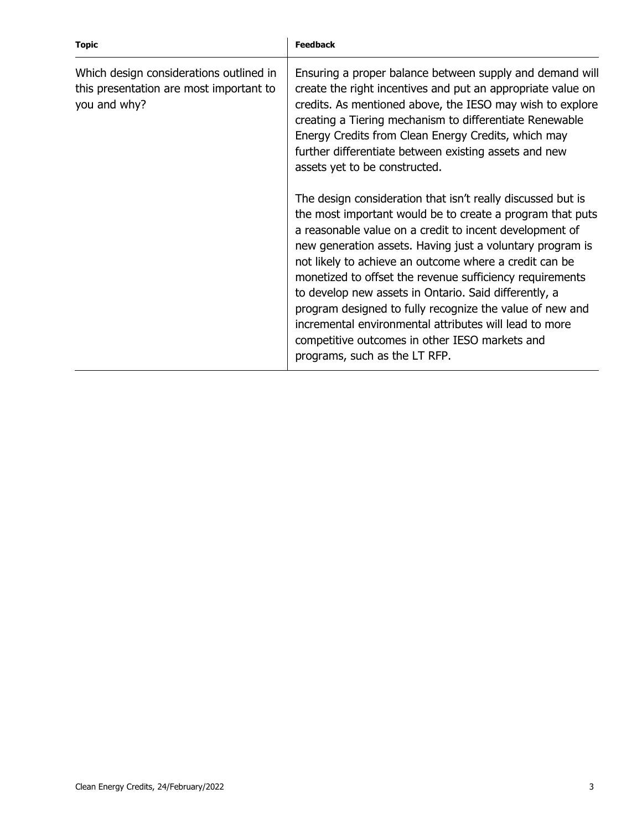| <b>Topic</b>                                                                                       | <b>Feedback</b>                                                                                                                                                                                                                                                                                                                                                                                                                                                                                                                                                                                                                          |
|----------------------------------------------------------------------------------------------------|------------------------------------------------------------------------------------------------------------------------------------------------------------------------------------------------------------------------------------------------------------------------------------------------------------------------------------------------------------------------------------------------------------------------------------------------------------------------------------------------------------------------------------------------------------------------------------------------------------------------------------------|
| Which design considerations outlined in<br>this presentation are most important to<br>you and why? | Ensuring a proper balance between supply and demand will<br>create the right incentives and put an appropriate value on<br>credits. As mentioned above, the IESO may wish to explore<br>creating a Tiering mechanism to differentiate Renewable<br>Energy Credits from Clean Energy Credits, which may<br>further differentiate between existing assets and new<br>assets yet to be constructed.                                                                                                                                                                                                                                         |
|                                                                                                    | The design consideration that isn't really discussed but is<br>the most important would be to create a program that puts<br>a reasonable value on a credit to incent development of<br>new generation assets. Having just a voluntary program is<br>not likely to achieve an outcome where a credit can be<br>monetized to offset the revenue sufficiency requirements<br>to develop new assets in Ontario. Said differently, a<br>program designed to fully recognize the value of new and<br>incremental environmental attributes will lead to more<br>competitive outcomes in other IESO markets and<br>programs, such as the LT RFP. |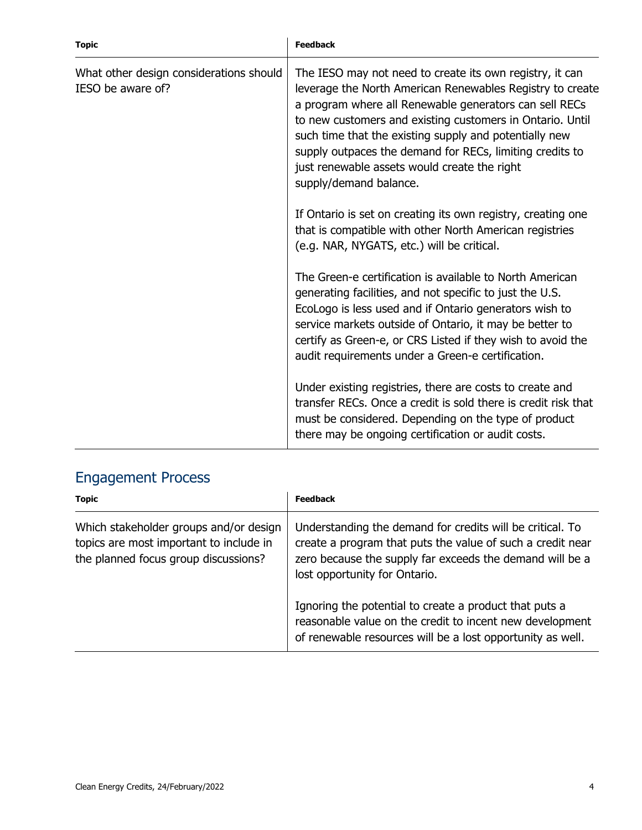| <b>Topic</b>                                                 | <b>Feedback</b>                                                                                                                                                                                                                                                                                                                                                                                                                              |
|--------------------------------------------------------------|----------------------------------------------------------------------------------------------------------------------------------------------------------------------------------------------------------------------------------------------------------------------------------------------------------------------------------------------------------------------------------------------------------------------------------------------|
| What other design considerations should<br>IESO be aware of? | The IESO may not need to create its own registry, it can<br>leverage the North American Renewables Registry to create<br>a program where all Renewable generators can sell RECs<br>to new customers and existing customers in Ontario. Until<br>such time that the existing supply and potentially new<br>supply outpaces the demand for RECs, limiting credits to<br>just renewable assets would create the right<br>supply/demand balance. |
|                                                              | If Ontario is set on creating its own registry, creating one<br>that is compatible with other North American registries<br>(e.g. NAR, NYGATS, etc.) will be critical.                                                                                                                                                                                                                                                                        |
|                                                              | The Green-e certification is available to North American<br>generating facilities, and not specific to just the U.S.<br>EcoLogo is less used and if Ontario generators wish to<br>service markets outside of Ontario, it may be better to<br>certify as Green-e, or CRS Listed if they wish to avoid the<br>audit requirements under a Green-e certification.                                                                                |
|                                                              | Under existing registries, there are costs to create and<br>transfer RECs. Once a credit is sold there is credit risk that<br>must be considered. Depending on the type of product<br>there may be ongoing certification or audit costs.                                                                                                                                                                                                     |

#### Engagement Process

| <b>Topic</b>                                                                                                              | <b>Feedback</b>                                                                                                                                                                                                      |
|---------------------------------------------------------------------------------------------------------------------------|----------------------------------------------------------------------------------------------------------------------------------------------------------------------------------------------------------------------|
| Which stakeholder groups and/or design<br>topics are most important to include in<br>the planned focus group discussions? | Understanding the demand for credits will be critical. To<br>create a program that puts the value of such a credit near<br>zero because the supply far exceeds the demand will be a<br>lost opportunity for Ontario. |
|                                                                                                                           | Ignoring the potential to create a product that puts a<br>reasonable value on the credit to incent new development<br>of renewable resources will be a lost opportunity as well.                                     |